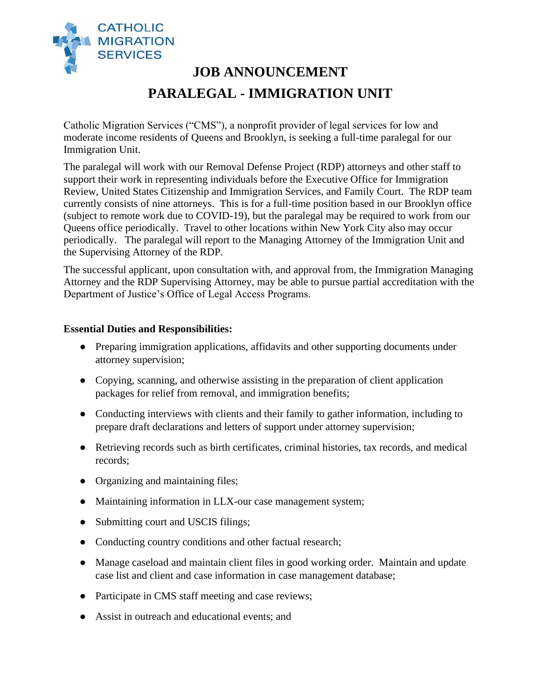

# **JOB ANNOUNCEMENT PARALEGAL - IMMIGRATION UNIT**

Catholic Migration Services ("CMS"), a nonprofit provider of legal services for low and moderate income residents of Queens and Brooklyn, is seeking a full-time paralegal for our Immigration Unit.

The paralegal will work with our Removal Defense Project (RDP) attorneys and other staff to support their work in representing individuals before the Executive Office for Immigration Review, United States Citizenship and Immigration Services, and Family Court. The RDP team currently consists of nine attorneys. This is for a full-time position based in our Brooklyn office (subject to remote work due to COVID-19), but the paralegal may be required to work from our Queens office periodically. Travel to other locations within New York City also may occur periodically. The paralegal will report to the Managing Attorney of the Immigration Unit and the Supervising Attorney of the RDP.

The successful applicant, upon consultation with, and approval from, the Immigration Managing Attorney and the RDP Supervising Attorney, may be able to pursue partial accreditation with the Department of Justice's Office of Legal Access Programs.

#### **Essential Duties and Responsibilities:**

- Preparing immigration applications, affidavits and other supporting documents under attorney supervision;
- Copying, scanning, and otherwise assisting in the preparation of client application packages for relief from removal, and immigration benefits;
- Conducting interviews with clients and their family to gather information, including to prepare draft declarations and letters of support under attorney supervision;
- Retrieving records such as birth certificates, criminal histories, tax records, and medical records;
- Organizing and maintaining files;
- Maintaining information in LLX-our case management system;
- Submitting court and USCIS filings;
- Conducting country conditions and other factual research;
- Manage caseload and maintain client files in good working order. Maintain and update case list and client and case information in case management database;
- Participate in CMS staff meeting and case reviews;
- Assist in outreach and educational events; and